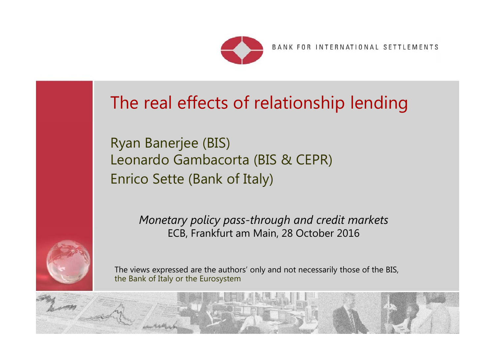

BANK FOR INTERNATIONAL SETTLEMENTS

 $R_{\rm{max}}$ 

# The real effects of relationship lending

Ryan Banerjee (BIS) Leonardo Gambacorta (BIS & CEPR) Enrico Sette (Bank of Italy)

> *Monetary policy pass-through and credit markets* ECB, Frankfurt am Main, 28 October 2016



The views expressed are the authors' only and not necessarily those of the BIS, the Bank of Italy or the Eurosystem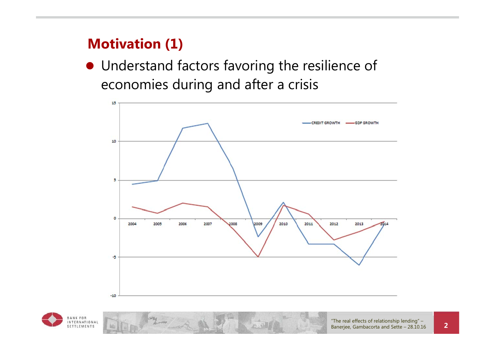#### **Motivation (1)**

 Understand factors favoring the resilience of economies during and after a crisis



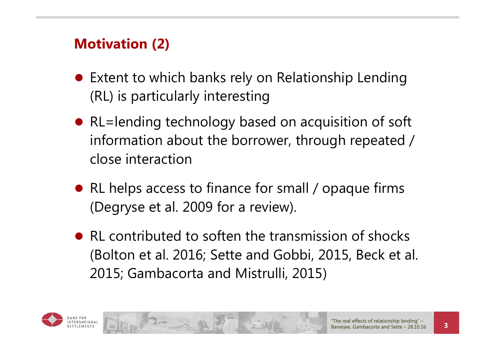## **Motivation (2)**

- Extent to which banks rely on Relationship Lending (RL) is particularly interesting
- RL=lending technology based on acquisition of soft information about the borrower, through repeated / close interaction
- RL helps access to finance for small / opaque firms (Degryse et al. 2009 for a review).
- RL contributed to soften the transmission of shocks (Bolton et al. 2016; Sette and Gobbi, 2015, Beck et al. 2015; Gambacorta and Mistrulli, 2015)

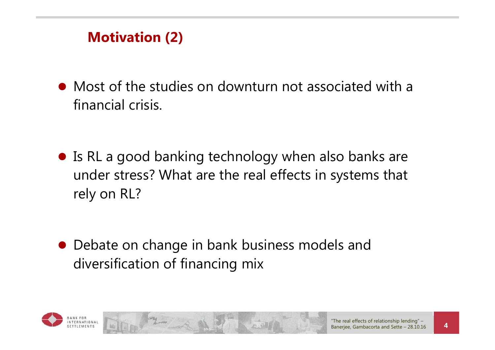### **Motivation (2)**

- Most of the studies on downturn not associated with a financial crisis.
- Is RL a good banking technology when also banks are under stress? What are the real effects in systems that rely on RL?

 Debate on change in bank business models and diversification of financing mix

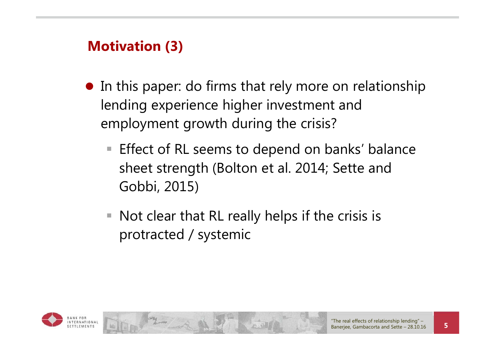### **Motivation (3)**

- In this paper: do firms that rely more on relationship lending experience higher investment and employment growth during the crisis?
	- Effect of RL seems to depend on banks' balance sheet strength (Bolton et al. 2014; Sette and Gobbi, 2015)
	- $\blacksquare$  Not clear that RL really helps if the crisis is protracted / systemic

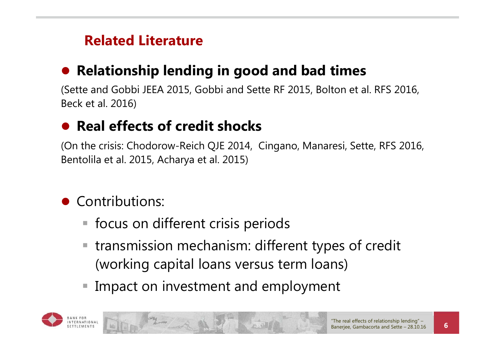## **Related Literature**

#### $\bullet$ **Relationship lending in good and bad times**

(Sette and Gobbi JEEA 2015, Gobbi and Sette RF 2015, Bolton et al. RFS 2016, Beck et al. 2016)

#### $\bullet$ **Real effects of credit shocks**

(On the crisis: Chodorow-Reich QJE 2014, Cingano, Manaresi, Sette, RFS 2016, Bentolila et al. 2015, Acharya et al. 2015)

- **Contributions:** 
	- focus on different crisis periods
	- transmission mechanism: different types of credit (working capital loans versus term loans)
	- $\mathbb{R}^3$ Impact on investment and employment

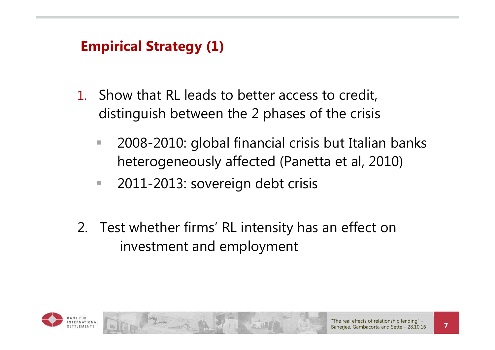## **Empirical Strategy (1)**

- 1. Show that RL leads to better access to credit, distinguish between the 2 phases of the crisis
	- $\overline{\phantom{a}}$  2008-2010: global financial crisis but Italian banks heterogeneously affected (Panetta et al, 2010)
	- $\mathcal{L}_{\mathcal{A}}$ 2011-2013: sovereign debt crisis
- 2. Test whether firms' RL intensity has an effect on investment and employment

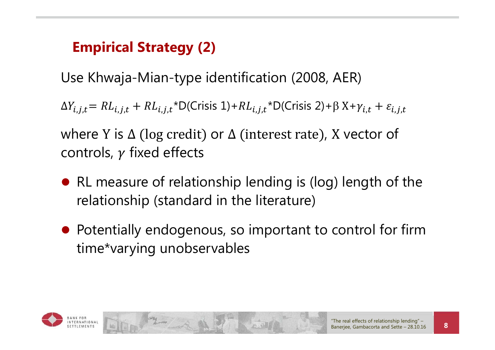## **Empirical Strategy (2)**

Use Khwaja-Mian-type identification (2008, AER)

 $\Delta Y_{i,j,t} = R L_{i,j,t} + R L_{i,j,t} * D(C$ risis 1) +  $R L_{i,j,t} * D(C$ risis 2) +  $\beta X + \gamma_{i,t} + \varepsilon_{i,j,t}$ 

where Y is ∆ (log credit) or ∆ (interest rate), X vector of controls,  $\gamma$  fixed effects

- RL measure of relationship lending is (log) length of the relationship (standard in the literature)
- Potentially endogenous, so important to control for firm time\*varying unobservables

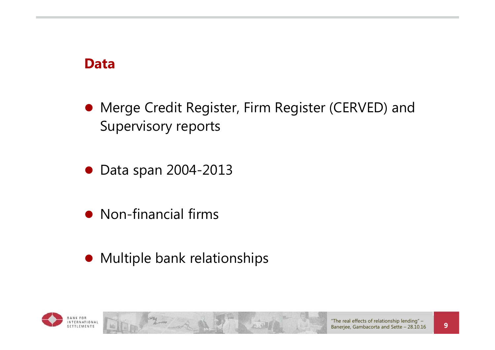#### **Data**

- Merge Credit Register, Firm Register (CERVED) and Supervisory reports
- Data span 2004-2013
- Non-financial firms
- **•** Multiple bank relationships

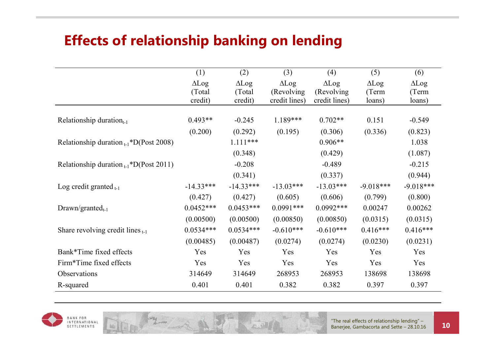## **Effects of relationship banking on lending**

|                                              | (1)          | (2)          | (3)           | (4)           | (5)          | (6)          |
|----------------------------------------------|--------------|--------------|---------------|---------------|--------------|--------------|
|                                              | $\Delta$ Log | $\Delta$ Log | $\Delta$ Log  | $\Delta$ Log  | $\Delta$ Log | $\Delta$ Log |
|                                              | (Total)      | (Total)      | (Revolving)   | (Revolving)   | (Term        | (Term        |
|                                              | credit)      | credit)      | credit lines) | credit lines) | loans)       | loans)       |
|                                              |              |              |               |               |              |              |
| Relationship duration $_{t-1}$               | $0.493**$    | $-0.245$     | 1.189***      | $0.702**$     | 0.151        | $-0.549$     |
|                                              | (0.200)      | (0.292)      | (0.195)       | (0.306)       | (0.336)      | (0.823)      |
| Relationship duration $_{t-1}$ *D(Post 2008) |              | $1.111***$   |               | $0.906**$     |              | 1.038        |
|                                              |              | (0.348)      |               | (0.429)       |              | (1.087)      |
| Relationship duration $_{t-1}$ *D(Post 2011) |              | $-0.208$     |               | $-0.489$      |              | $-0.215$     |
|                                              |              | (0.341)      |               | (0.337)       |              | (0.944)      |
| Log credit granted $_{t-1}$                  | $-14.33***$  | $-14.33***$  | $-13.03***$   | $-13.03***$   | $-9.018***$  | $-9.018***$  |
|                                              | (0.427)      | (0.427)      | (0.605)       | (0.606)       | (0.799)      | (0.800)      |
| $Drawn/granted_{t-1}$                        | $0.0452***$  | $0.0453***$  | $0.0991***$   | $0.0992***$   | 0.00247      | 0.00262      |
|                                              | (0.00500)    | (0.00500)    | (0.00850)     | (0.00850)     | (0.0315)     | (0.0315)     |
| Share revolving credit lines $_{t-1}$        | $0.0534***$  | $0.0534***$  | $-0.610***$   | $-0.610***$   | $0.416***$   | $0.416***$   |
|                                              | (0.00485)    | (0.00487)    | (0.0274)      | (0.0274)      | (0.0230)     | (0.0231)     |
| Bank*Time fixed effects                      | Yes          | Yes          | Yes           | Yes           | Yes          | Yes          |
| Firm*Time fixed effects                      | Yes          | Yes          | Yes           | Yes           | Yes          | Yes          |
| Observations                                 | 314649       | 314649       | 268953        | 268953        | 138698       | 138698       |
| R-squared                                    | 0.401        | 0.401        | 0.382         | 0.382         | 0.397        | 0.397        |

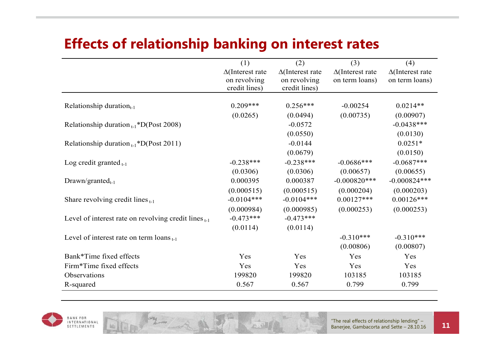#### **Effects of relationship banking on interest rates**

|                                                           | (1)                                                      | (2)                                                      | (3)                                       | (4)                                       |
|-----------------------------------------------------------|----------------------------------------------------------|----------------------------------------------------------|-------------------------------------------|-------------------------------------------|
|                                                           | $\Delta$ (Interest rate<br>on revolving<br>credit lines) | $\Delta$ (Interest rate<br>on revolving<br>credit lines) | $\Delta$ (Interest rate<br>on term loans) | $\Delta$ (Interest rate<br>on term loans) |
|                                                           | $0.209***$                                               | $0.256***$                                               | $-0.00254$                                | $0.0214**$                                |
| Relationship duration $_{t-1}$                            |                                                          |                                                          |                                           |                                           |
|                                                           | (0.0265)                                                 | (0.0494)                                                 | (0.00735)                                 | (0.00907)                                 |
| Relationship duration $_{t-1}$ *D(Post 2008)              |                                                          | $-0.0572$                                                |                                           | $-0.0438***$                              |
|                                                           |                                                          | (0.0550)                                                 |                                           | (0.0130)                                  |
| Relationship duration $_{t-1}$ *D(Post 2011)              |                                                          | $-0.0144$                                                |                                           | $0.0251*$                                 |
|                                                           |                                                          | (0.0679)                                                 |                                           | (0.0150)                                  |
| Log credit granted $_{t-1}$                               | $-0.238***$                                              | $-0.238***$                                              | $-0.0686***$                              | $-0.0687***$                              |
|                                                           | (0.0306)                                                 | (0.0306)                                                 | (0.00657)                                 | (0.00655)                                 |
| $Drawn/granted_{t-1}$                                     | 0.000395                                                 | 0.000387                                                 | $-0.000820***$                            | $-0.000824***$                            |
|                                                           | (0.000515)                                               | (0.000515)                                               | (0.000204)                                | (0.000203)                                |
| Share revolving credit lines $_{t-1}$                     | $-0.0104***$                                             | $-0.0104***$                                             | $0.00127***$                              | $0.00126***$                              |
|                                                           | (0.000984)                                               | (0.000985)                                               | (0.000253)                                | (0.000253)                                |
| Level of interest rate on revolving credit lines $_{t-1}$ | $-0.473***$                                              | $-0.473***$                                              |                                           |                                           |
|                                                           | (0.0114)                                                 | (0.0114)                                                 |                                           |                                           |
| Level of interest rate on term loans $_{t-1}$             |                                                          |                                                          | $-0.310***$                               | $-0.310***$                               |
|                                                           |                                                          |                                                          | (0.00806)                                 | (0.00807)                                 |
| Bank*Time fixed effects                                   | Yes                                                      | Yes                                                      | Yes                                       | Yes                                       |
| Firm*Time fixed effects                                   | Yes                                                      | Yes                                                      | Yes                                       | Yes                                       |
| Observations                                              | 199820                                                   | 199820                                                   | 103185                                    | 103185                                    |
| R-squared                                                 | 0.567                                                    | 0.567                                                    | 0.799                                     | 0.799                                     |

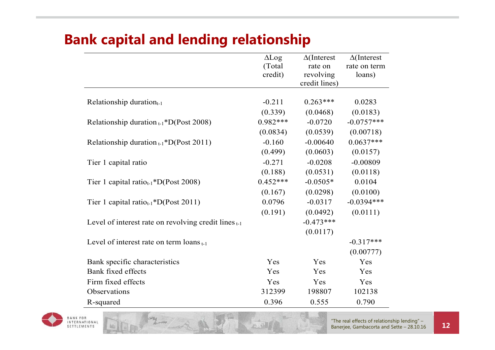## **Bank capital and lending relationship**

|                                                        | $\Delta$ Log | $\Delta$ (Interest | $\Delta$ (Interest |
|--------------------------------------------------------|--------------|--------------------|--------------------|
|                                                        | (Total)      | rate on            | rate on term       |
|                                                        | credit)      | revolving          | loans)             |
|                                                        |              | credit lines)      |                    |
|                                                        |              |                    |                    |
| Relationship duration $_{t-1}$                         | $-0.211$     | $0.263***$         | 0.0283             |
|                                                        | (0.339)      | (0.0468)           | (0.0183)           |
| Relationship duration $_{t-1}$ *D(Post 2008)           | $0.982***$   | $-0.0720$          | $-0.0757***$       |
|                                                        | (0.0834)     | (0.0539)           | (0.00718)          |
| Relationship duration $_{t-1}$ *D(Post 2011)           | $-0.160$     | $-0.00640$         | $0.0637***$        |
|                                                        | (0.499)      | (0.0603)           | (0.0157)           |
| Tier 1 capital ratio                                   | $-0.271$     | $-0.0208$          | $-0.00809$         |
|                                                        | (0.188)      | (0.0531)           | (0.0118)           |
| Tier 1 capital ratio <sub>t-1</sub> *D(Post 2008)      | $0.452***$   | $-0.0505*$         | 0.0104             |
|                                                        | (0.167)      | (0.0298)           | (0.0100)           |
| Tier 1 capital ratio <sub>t-1</sub> *D(Post 2011)      | 0.0796       | $-0.0317$          | $-0.0394***$       |
|                                                        | (0.191)      | (0.0492)           | (0.0111)           |
| Level of interest rate on revolving credit lines $t-1$ |              | $-0.473***$        |                    |
|                                                        |              | (0.0117)           |                    |
| Level of interest rate on term $\log_{t-1}$            |              |                    | $-0.317***$        |
|                                                        |              |                    | (0.00777)          |
| Bank specific characteristics                          | Yes          | Yes                | Yes                |
| Bank fixed effects                                     | Yes          | Yes                | Yes                |
| Firm fixed effects                                     | Yes          | Yes                | Yes                |
| Observations                                           | 312399       | 198807             | 102138             |
| R-squared                                              | 0.396        | 0.555              | 0.790              |

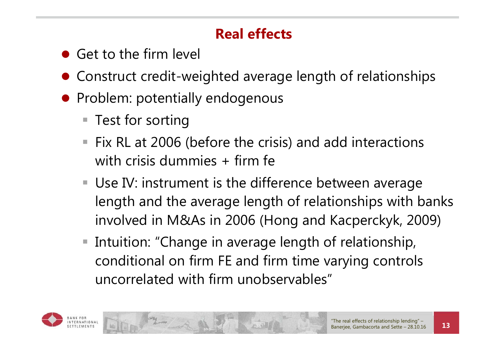## **Real effects**

- Get to the firm level
- Construct credit-weighted average length of relationships
- **•** Problem: potentially endogenous
	- Test for sorting
	- $\overline{\phantom{a}}$  Fix RL at 2006 (before the crisis) and add interactions with crisis dummies + firm fe
	- Use IV: instrument is the difference between average length and the average length of relationships with banks involved in M&As in 2006 (Hong and Kacperckyk, 2009)
	- $\Box$  Intuition: "Change in average length of relationship, conditional on firm FE and firm time varying controls uncorrelated with firm unobservables"

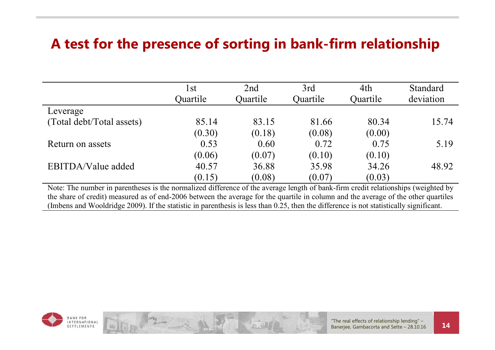### **A test for the presence of sorting in bank-firm relationship**

| l st<br>Quartile | 2nd<br>Quartile | 3rd<br>Quartile | 4th<br>Quartile | <b>Standard</b><br>deviation |
|------------------|-----------------|-----------------|-----------------|------------------------------|
|                  |                 |                 |                 |                              |
| 85.14            | 83.15           | 81.66           | 80.34           | 15.74                        |
| (0.30)           | (0.18)          | (0.08)          | (0.00)          |                              |
| 0.53             | 0.60            | 0.72            | 0.75            | 5.19                         |
| (0.06)           | (0.07)          | (0.10)          | (0.10)          |                              |
| 40.57            | 36.88           | 35.98           | 34.26           | 48.92                        |
| (0.15)           | (0.08)          | (0.07)          | (0.03)          |                              |
|                  |                 |                 |                 |                              |

Note: The number in parentheses is the normalized difference of the average length of bank-firm credit relationships (weighted by the share of credit) measured as of end-2006 between the average for the quartile in column and the average of the other quartiles (Imbens and Wooldridge 2009). If the statistic in parenthesis is less than 0.25, then the difference is not statistically significant.

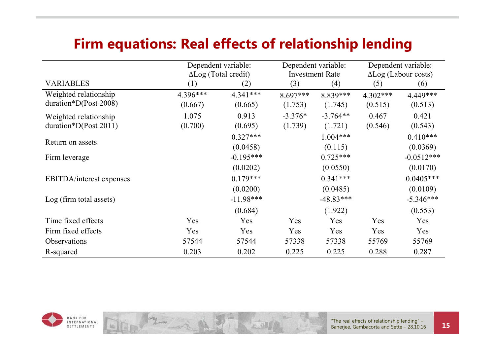#### **Firm equations: Real effects of relationship lending**

|                                  |          | Dependent variable:         |            | Dependent variable:    |            | Dependent variable:         |  |
|----------------------------------|----------|-----------------------------|------------|------------------------|------------|-----------------------------|--|
|                                  |          | $\Delta$ Log (Total credit) |            | <b>Investment Rate</b> |            | $\Delta$ Log (Labour costs) |  |
| <b>VARIABLES</b>                 | (1)      | (2)                         | (3)        | (4)                    | (5)        | (6)                         |  |
| Weighted relationship            | 4.396*** | 4.341***                    | $8.697***$ | 8.839***               | $4.302***$ | 4.449***                    |  |
| duration*D(Post 2008)            | (0.667)  | (0.665)                     | (1.753)    | (1.745)                | (0.515)    | (0.513)                     |  |
| Weighted relationship            | 1.075    | 0.913                       | $-3.376*$  | $-3.764**$             | 0.467      | 0.421                       |  |
| $duration*D(Post 2011)$          | (0.700)  | (0.695)                     | (1.739)    | (1.721)                | (0.546)    | (0.543)                     |  |
|                                  |          | $0.327***$                  |            | $1.004***$             |            | $0.410***$                  |  |
| Return on assets                 |          | (0.0458)                    |            | (0.115)                |            | (0.0369)                    |  |
| Firm leverage                    |          | $-0.195***$                 |            | $0.725***$             |            | $-0.0512***$                |  |
|                                  |          | (0.0202)                    |            | (0.0550)               |            | (0.0170)                    |  |
| <b>EBITDA</b> /interest expenses |          | $0.179***$                  |            | $0.341***$             |            | $0.0405***$                 |  |
|                                  |          | (0.0200)                    |            | (0.0485)               |            | (0.0109)                    |  |
| Log (firm total assets)          |          | $-11.98***$                 |            | $-48.83***$            |            | $-5.346***$                 |  |
|                                  |          | (0.684)                     |            | (1.922)                |            | (0.553)                     |  |
| Time fixed effects               | Yes      | Yes                         | Yes        | Yes                    | Yes        | Yes                         |  |
| Firm fixed effects               | Yes      | Yes                         | Yes        | Yes                    | Yes        | Yes                         |  |
| Observations                     | 57544    | 57544                       | 57338      | 57338                  | 55769      | 55769                       |  |
| R-squared                        | 0.203    | 0.202                       | 0.225      | 0.225                  | 0.288      | 0.287                       |  |

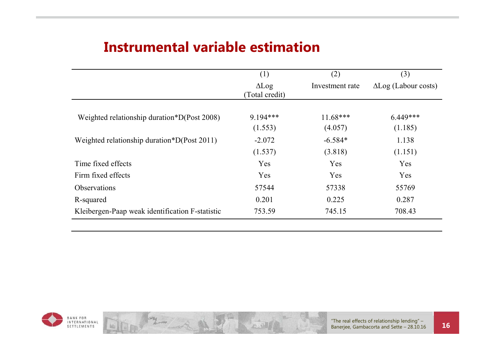### **Instrumental variable estimation**

|                                                 | (1)                            | (2)                  | (3)                         |
|-------------------------------------------------|--------------------------------|----------------------|-----------------------------|
|                                                 | $\Delta$ Log<br>(Total credit) | Investment rate      | $\Delta$ Log (Labour costs) |
| Weighted relationship duration*D(Post 2008)     | $9.194***$                     | $11.68***$           | $6.449***$                  |
|                                                 | (1.553)                        | (4.057)              | (1.185)                     |
| Weighted relationship duration*D(Post 2011)     | $-2.072$<br>(1.537)            | $-6.584*$<br>(3.818) | 1.138<br>(1.151)            |
| Time fixed effects                              | Yes                            | Yes                  | Yes                         |
| Firm fixed effects                              | Yes                            | Yes                  | Yes                         |
| <b>Observations</b>                             | 57544                          | 57338                | 55769                       |
| R-squared                                       | 0.201                          | 0.225                | 0.287                       |
| Kleibergen-Paap weak identification F-statistic | 753.59                         | 745.15               | 708.43                      |

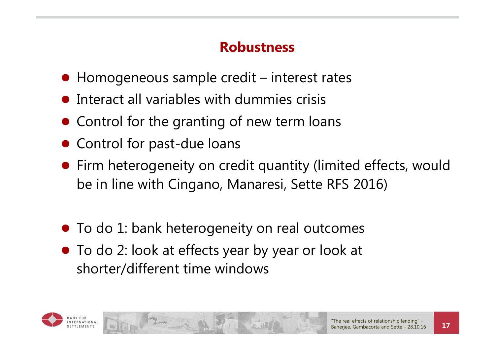## **Robustness**

- Homogeneous sample credit interest rates
- $\bullet$  Interact all variables with dummies crisis
- **Control for the granting of new term loans**
- **Control for past-due loans**
- Firm heterogeneity on credit quantity (limited effects, would be in line with Cingano, Manaresi, Sette RFS 2016)
- $\bullet$  To do 1: bank heterogeneity on real outcomes
- To do 2: look at effects year by year or look at shorter/different time windows